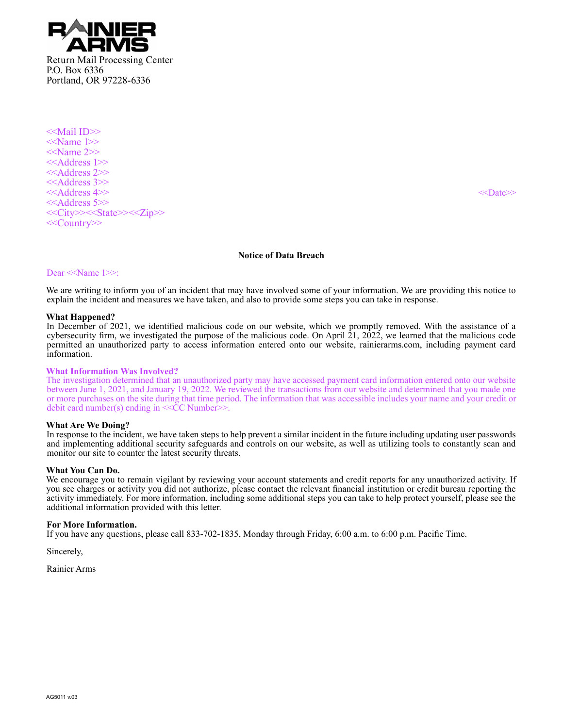

<<Mail ID>> <<Name 1>>  $<<$ Name 2>> <<Address 1>> <<Address 2>> <<Address 3>> <<Address 4>> <<Date>> <<Address 5>> <<City>><<State>><<Zip>> <<Country>>

# **Notice of Data Breach**

### Dear <<Name 1>>:

We are writing to inform you of an incident that may have involved some of your information. We are providing this notice to explain the incident and measures we have taken, and also to provide some steps you can take in response.

### **What Happened?**

In December of 2021, we identified malicious code on our website, which we promptly removed. With the assistance of a cybersecurity firm, we investigated the purpose of the malicious code. On April  $21$ ,  $2022$ , we learned that the malicious code permitted an unauthorized party to access information entered onto our website, rainierarms.com, including payment card information.

### **What Information Was Involved?**

The investigation determined that an unauthorized party may have accessed payment card information entered onto our website between June 1, 2021, and January 19, 2022. We reviewed the transactions from our website and determined that you made one or more purchases on the site during that time period. The information that was accessible includes your name and your credit or debit card number(s) ending in  $<<$ CC Number $>>$ .

# **What Are We Doing?**

In response to the incident, we have taken steps to help prevent a similar incident in the future including updating user passwords and implementing additional security safeguards and controls on our website, as well as utilizing tools to constantly scan and monitor our site to counter the latest security threats.

### **What You Can Do.**

We encourage you to remain vigilant by reviewing your account statements and credit reports for any unauthorized activity. If you see charges or activity you did not authorize, please contact the relevant financial institution or credit bureau reporting the activity immediately. For more information, including some additional steps you can take to help protect yourself, please see the additional information provided with this letter.

### **For More Information.**

If you have any questions, please call 833-702-1835, Monday through Friday, 6:00 a.m. to 6:00 p.m. Pacific Time.

Sincerely,

Rainier Arms